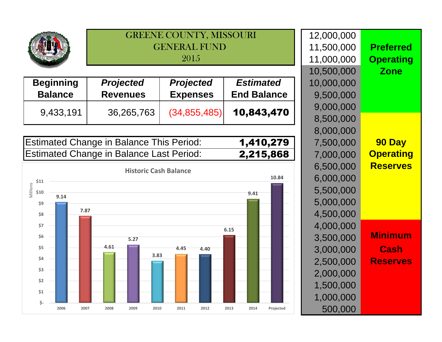| $-0.001$ |  |
|----------|--|
|          |  |

|                                    | <b>GENERAL FUND</b><br>2015         |                                     |                                        | <u>, , , , , , , , , , , , ,</u><br>11,500,000<br>11,000,000 |
|------------------------------------|-------------------------------------|-------------------------------------|----------------------------------------|--------------------------------------------------------------|
| <b>Beginning</b><br><b>Balance</b> | <b>Projected</b><br><b>Revenues</b> | <b>Projected</b><br><b>Expenses</b> | <b>Estimated</b><br><b>End Balance</b> | 10,500,000<br>10,000,000<br>9,500,000                        |
| 9,433,191                          | 36,265,763                          | (34, 855, 485)                      | 10,843,470                             | 9,000,000<br>8,500,000                                       |
|                                    |                                     |                                     |                                        | 8,000,000                                                    |

GREENE COUNTY, MISSOURI

Estimated Change in Balance This Period: 1,410,279Estimated Change in Balance Last Period:2,215,868



|                  | 12,000,000 |             |
|------------------|------------|-------------|
| <b>Preferred</b> | 11,500,000 |             |
| <b>Operating</b> | 11,000,000 |             |
| <b>Zone</b>      | 10,500,000 |             |
|                  | 10,000,000 |             |
|                  | 9,500,000  | е           |
|                  | 9,000,000  | $\mathbf 0$ |
|                  | 8,500,000  |             |
|                  | 8,000,000  |             |
| 90 Day           | 7,500,000  | 9           |
| <b>Operating</b> | 7,000,000  | 8           |
| <b>Reserves</b>  | 6,500,000  |             |
|                  | 6,000,000  |             |
|                  | 5,500,000  |             |
|                  | 5,000,000  |             |
|                  | 4,500,000  |             |
|                  | 4,000,000  |             |
| <b>Minimum</b>   | 3,500,000  |             |
| Cash             | 3,000,000  |             |
| <b>Reserves</b>  | 2,500,000  |             |
|                  | 2,000,000  |             |
|                  | 1,500,000  |             |
|                  | 1,000,000  |             |
|                  | 500,000    | ed          |
|                  |            |             |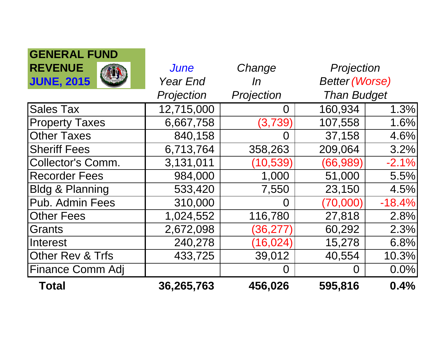| GENERAL FUND               |                 |            |                       |          |
|----------------------------|-----------------|------------|-----------------------|----------|
| <b>REVENUE</b>             | <b>June</b>     | Change     | Projection            |          |
| <b>JUNE, 2015</b>          | <b>Year End</b> | In         | <b>Better (Worse)</b> |          |
|                            | Projection      | Projection | <b>Than Budget</b>    |          |
| <b>Sales Tax</b>           | 12,715,000      | O          | 160,934               | 1 3%     |
| <b>Property Taxes</b>      | 6,667,758       | (3,739)    | 107,558               | 1.6%     |
| <b>Other Taxes</b>         | 840,158         | ( )        | 37,158                | 4.6%     |
| <b>Sheriff Fees</b>        | 6,713,764       | 358,263    | 209,064               | 3.2%     |
| <b>Collector's Comm.</b>   | 3,131,011       | (10, 539)  | (66, 989)             | $-2.1%$  |
| <b>Recorder Fees</b>       | 984,000         | 1,000      | 51,000                | 5.5%     |
| <b>Bldg &amp; Planning</b> | 533,420         | 7,550      | 23,150                | 4.5%     |
| Pub. Admin Fees            | 310,000         | $\Omega$   | (70,000)              | $-18.4%$ |
| <b>Other Fees</b>          | 1,024,552       | 116,780    | 27,818                | 2.8%     |
| Grants                     | 2,672,098       | (36, 277)  | 60,292                | 2.3%     |
| <b>Interest</b>            | 240,278         | (16, 024)  | 15,278                | 6.8%     |
| Other Rev & Trfs           | 433,725         | 39,012     | 40,554                | 10.3%    |
| Finance Comm Adj           |                 |            |                       | 0.0%     |
| <b>Total</b>               | 36,265,763      | 456,026    | 595,816               | 0.4%     |

**GENERAL FUND**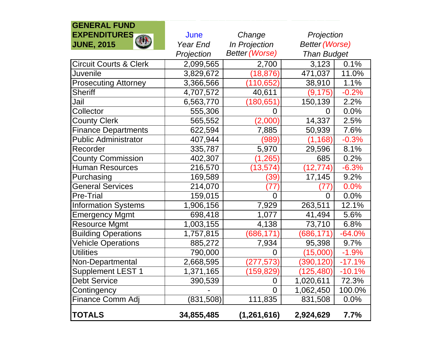| <b>GENERAL FUND</b>               |            |                       |                       |          |
|-----------------------------------|------------|-----------------------|-----------------------|----------|
| <b>EXPENDITURES</b>               | June       | Change                | Projection            |          |
| <b>AUT</b><br><b>JUNE, 2015</b>   | Year End   | In Projection         | <b>Better (Worse)</b> |          |
|                                   | Projection | <b>Better (Worse)</b> | <b>Than Budget</b>    |          |
| <b>Circuit Courts &amp; Clerk</b> | 2,099,565  | 2,700                 | 3,123                 | 0.1%     |
| Juvenile                          | 3,829,672  | (18, 876)             | 471,037               | 11.0%    |
| <b>Prosecuting Attorney</b>       | 3,366,566  | (110, 652)            | 38,910                | 1.1%     |
| <b>Sheriff</b>                    | 4,707,572  | 40,611                | (9, 175)              | $-0.2%$  |
| Jail                              | 6,563,770  | (180, 651)            | 150,139               | 2.2%     |
| Collector                         | 555,306    | 0                     | O                     | 0.0%     |
| <b>County Clerk</b>               | 565,552    | (2,000)               | 14,337                | 2.5%     |
| <b>Finance Departments</b>        | 622,594    | 7,885                 | 50,939                | 7.6%     |
| <b>Public Administrator</b>       | 407,944    | (989)                 | (1, 168)              | $-0.3%$  |
| Recorder                          | 335,787    | 5,970                 | 29,596                | 8.1%     |
| <b>County Commission</b>          | 402,307    | (1, 265)              | 685                   | 0.2%     |
| <b>Human Resources</b>            | 216,570    | (13, 574)             | (12, 774)             | $-6.3%$  |
| Purchasing                        | 169,589    | (39)                  | 17,145                | 9.2%     |
| <b>General Services</b>           | 214,070    | (77                   | 77)                   | 0.0%     |
| <b>Pre-Trial</b>                  | 159,015    | 0                     | 0                     | 0.0%     |
| <b>Information Systems</b>        | 1,906,156  | 7,929                 | 263,511               | 12.1%    |
| <b>Emergency Mgmt</b>             | 698,418    | 1,077                 | 41,494                | 5.6%     |
| <b>Resource Mgmt</b>              | 1,003,155  | 4,138                 | 73,710                | 6.8%     |
| <b>Building Operations</b>        | 1,757,815  | (686, 171)            | (686, 171)            | $-64.0%$ |
| <b>Vehicle Operations</b>         | 885,272    | 7,934                 | 95,398                | 9.7%     |
| <b>Utilities</b>                  | 790,000    | 0                     | (15,000)              | $-1.9%$  |
| Non-Departmental                  | 2,668,595  | (277, 573)            | (390, 120)            | $-17.1%$ |
| Supplement LEST 1                 | 1,371,165  | (159, 829)            | (125, 480)            | $-10.1%$ |
| <b>Debt Service</b>               | 390,539    | 0                     | 1,020,611             | 72.3%    |
| Contingency                       |            | $\overline{0}$        | 1,062,450             | 100.0%   |
| Finance Comm Adj                  | (831, 508) | 111,835               | 831,508               | 0.0%     |
| <b>TOTALS</b>                     | 34,855,485 | (1, 261, 616)         | 2,924,629             | $7.7\%$  |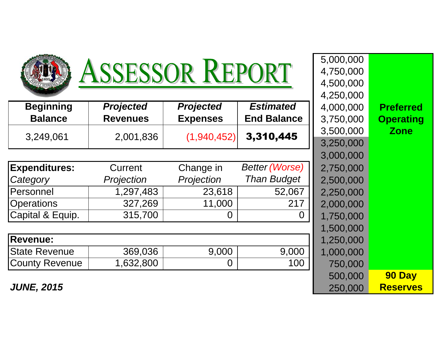|                       | <b>ISSESSOR REPORT</b> |                  |                       | 4,750,000 |
|-----------------------|------------------------|------------------|-----------------------|-----------|
|                       |                        |                  |                       | 4,500,000 |
|                       |                        |                  |                       | 4,250,000 |
| <b>Beginning</b>      | <b>Projected</b>       | <b>Projected</b> | <b>Estimated</b>      | 4,000,000 |
| <b>Balance</b>        | <b>Revenues</b>        | <b>Expenses</b>  | <b>End Balance</b>    | 3,750,000 |
| 3,249,061             | 2,001,836              | (1,940,452)      | 3,310,445             | 3,500,000 |
|                       |                        |                  |                       | 3,250,000 |
|                       |                        |                  |                       | 3,000,000 |
| <b>Expenditures:</b>  | Current                | Change in        | <b>Better (Worse)</b> | 2,750,000 |
| Category              | Projection             | Projection       | <b>Than Budget</b>    | 2,500,000 |
| Personnel             | 1,297,483              | 23,618           | 52,067                | 2,250,000 |
| <b>Operations</b>     | 327,269                | 11,000           | 217                   | 2,000,000 |
| Capital & Equip.      | 315,700                | 0                | O                     | 1,750,000 |
|                       |                        |                  |                       | 1,500,000 |
| <b>Revenue:</b>       |                        |                  |                       | 1,250,000 |
| <b>State Revenue</b>  | 369,036                | 9,000            | 9,000                 | 1,000,000 |
| <b>County Revenue</b> | 1,632,800              | 0                | 100                   | 750,000   |
|                       |                        |                  |                       |           |

|       |                  | 5,000,000              |                       |           |                  |
|-------|------------------|------------------------|-----------------------|-----------|------------------|
|       | ASSESSOR REPORT  | 4,750,000<br>4,500,000 |                       |           |                  |
|       |                  |                        |                       | 4,250,000 |                  |
| ing   | <b>Projected</b> | <b>Projected</b>       | <b>Estimated</b>      | 4,000,000 | <b>Preferred</b> |
| ce    | <b>Revenues</b>  | <b>Expenses</b>        | <b>End Balance</b>    | 3,750,000 | <b>Operating</b> |
| 61    | 2,001,836        | (1,940,452)            | 3,310,445             | 3,500,000 | <b>Zone</b>      |
|       |                  |                        |                       | 3,250,000 |                  |
|       |                  |                        |                       | 3,000,000 |                  |
| res:  | Current          | Change in              | <b>Better (Worse)</b> | 2,750,000 |                  |
|       | Projection       | Projection             | <b>Than Budget</b>    | 2,500,000 |                  |
|       | 1,297,483        | 23,618                 | 52,067                | 2,250,000 |                  |
|       | 327,269          | 11,000                 | 217                   | 2,000,000 |                  |
| quip. | 315,700          | $\overline{0}$         | 0                     | 1,750,000 |                  |
|       |                  |                        |                       | 1,500,000 |                  |
|       |                  |                        |                       | 1,250,000 |                  |
| nue   | 369,036          | 9,000                  | 9,000                 | 1,000,000 |                  |
| venue | 1,632,800        | $\overline{0}$         | 100                   | 750,000   |                  |
|       |                  |                        |                       | 500,000   | 90 Day           |
| 5     |                  |                        |                       | 250,000   | <b>Reserves</b>  |

**JUNE, 2015**

**COUNTY TABLE**